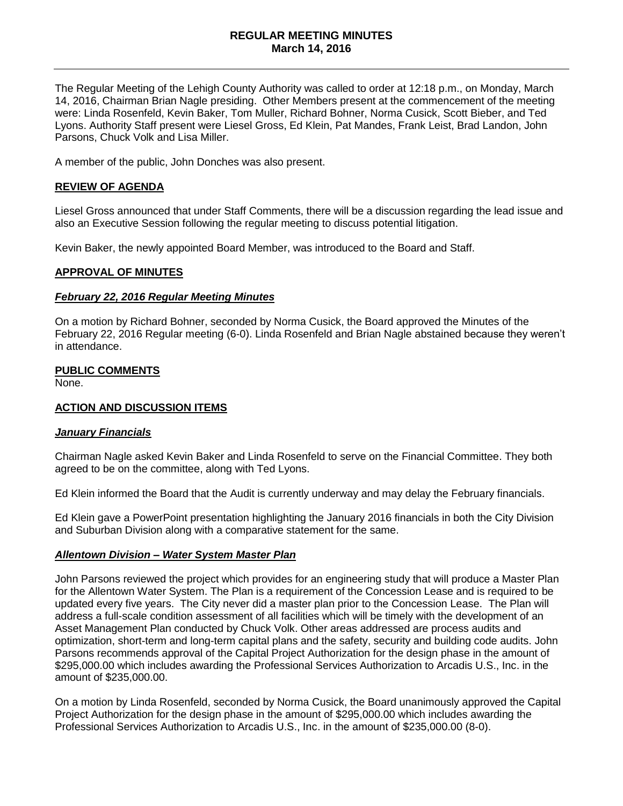### **REGULAR MEETING MINUTES March 14, 2016**

The Regular Meeting of the Lehigh County Authority was called to order at 12:18 p.m., on Monday, March 14, 2016, Chairman Brian Nagle presiding. Other Members present at the commencement of the meeting were: Linda Rosenfeld, Kevin Baker, Tom Muller, Richard Bohner, Norma Cusick, Scott Bieber, and Ted Lyons. Authority Staff present were Liesel Gross, Ed Klein, Pat Mandes, Frank Leist, Brad Landon, John Parsons, Chuck Volk and Lisa Miller.

A member of the public, John Donches was also present.

### **REVIEW OF AGENDA**

Liesel Gross announced that under Staff Comments, there will be a discussion regarding the lead issue and also an Executive Session following the regular meeting to discuss potential litigation.

Kevin Baker, the newly appointed Board Member, was introduced to the Board and Staff.

### **APPROVAL OF MINUTES**

#### *February 22, 2016 Regular Meeting Minutes*

On a motion by Richard Bohner, seconded by Norma Cusick, the Board approved the Minutes of the February 22, 2016 Regular meeting (6-0). Linda Rosenfeld and Brian Nagle abstained because they weren't in attendance.

#### **PUBLIC COMMENTS**

None.

### **ACTION AND DISCUSSION ITEMS**

#### *January Financials*

Chairman Nagle asked Kevin Baker and Linda Rosenfeld to serve on the Financial Committee. They both agreed to be on the committee, along with Ted Lyons.

Ed Klein informed the Board that the Audit is currently underway and may delay the February financials.

Ed Klein gave a PowerPoint presentation highlighting the January 2016 financials in both the City Division and Suburban Division along with a comparative statement for the same.

#### *Allentown Division – Water System Master Plan*

John Parsons reviewed the project which provides for an engineering study that will produce a Master Plan for the Allentown Water System. The Plan is a requirement of the Concession Lease and is required to be updated every five years. The City never did a master plan prior to the Concession Lease. The Plan will address a full-scale condition assessment of all facilities which will be timely with the development of an Asset Management Plan conducted by Chuck Volk. Other areas addressed are process audits and optimization, short-term and long-term capital plans and the safety, security and building code audits. John Parsons recommends approval of the Capital Project Authorization for the design phase in the amount of \$295,000.00 which includes awarding the Professional Services Authorization to Arcadis U.S., Inc. in the amount of \$235,000.00.

On a motion by Linda Rosenfeld, seconded by Norma Cusick, the Board unanimously approved the Capital Project Authorization for the design phase in the amount of \$295,000.00 which includes awarding the Professional Services Authorization to Arcadis U.S., Inc. in the amount of \$235,000.00 (8-0).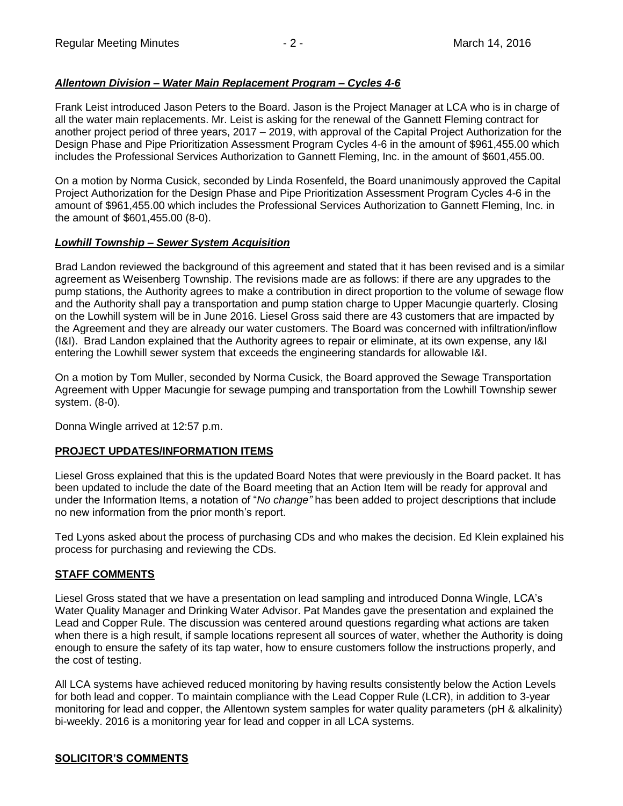## *Allentown Division – Water Main Replacement Program – Cycles 4-6*

Frank Leist introduced Jason Peters to the Board. Jason is the Project Manager at LCA who is in charge of all the water main replacements. Mr. Leist is asking for the renewal of the Gannett Fleming contract for another project period of three years, 2017 – 2019, with approval of the Capital Project Authorization for the Design Phase and Pipe Prioritization Assessment Program Cycles 4-6 in the amount of \$961,455.00 which includes the Professional Services Authorization to Gannett Fleming, Inc. in the amount of \$601,455.00.

On a motion by Norma Cusick, seconded by Linda Rosenfeld, the Board unanimously approved the Capital Project Authorization for the Design Phase and Pipe Prioritization Assessment Program Cycles 4-6 in the amount of \$961,455.00 which includes the Professional Services Authorization to Gannett Fleming, Inc. in the amount of \$601,455.00 (8-0).

## *Lowhill Township – Sewer System Acquisition*

Brad Landon reviewed the background of this agreement and stated that it has been revised and is a similar agreement as Weisenberg Township. The revisions made are as follows: if there are any upgrades to the pump stations, the Authority agrees to make a contribution in direct proportion to the volume of sewage flow and the Authority shall pay a transportation and pump station charge to Upper Macungie quarterly. Closing on the Lowhill system will be in June 2016. Liesel Gross said there are 43 customers that are impacted by the Agreement and they are already our water customers. The Board was concerned with infiltration/inflow (I&I). Brad Landon explained that the Authority agrees to repair or eliminate, at its own expense, any I&I entering the Lowhill sewer system that exceeds the engineering standards for allowable I&I.

On a motion by Tom Muller, seconded by Norma Cusick, the Board approved the Sewage Transportation Agreement with Upper Macungie for sewage pumping and transportation from the Lowhill Township sewer system. (8-0).

Donna Wingle arrived at 12:57 p.m.

## **PROJECT UPDATES/INFORMATION ITEMS**

Liesel Gross explained that this is the updated Board Notes that were previously in the Board packet. It has been updated to include the date of the Board meeting that an Action Item will be ready for approval and under the Information Items, a notation of "*No change"* has been added to project descriptions that include no new information from the prior month's report.

Ted Lyons asked about the process of purchasing CDs and who makes the decision. Ed Klein explained his process for purchasing and reviewing the CDs.

## **STAFF COMMENTS**

Liesel Gross stated that we have a presentation on lead sampling and introduced Donna Wingle, LCA's Water Quality Manager and Drinking Water Advisor. Pat Mandes gave the presentation and explained the Lead and Copper Rule. The discussion was centered around questions regarding what actions are taken when there is a high result, if sample locations represent all sources of water, whether the Authority is doing enough to ensure the safety of its tap water, how to ensure customers follow the instructions properly, and the cost of testing.

All LCA systems have achieved reduced monitoring by having results consistently below the Action Levels for both lead and copper. To maintain compliance with the Lead Copper Rule (LCR), in addition to 3-year monitoring for lead and copper, the Allentown system samples for water quality parameters (pH & alkalinity) bi-weekly. 2016 is a monitoring year for lead and copper in all LCA systems.

# **SOLICITOR'S COMMENTS**